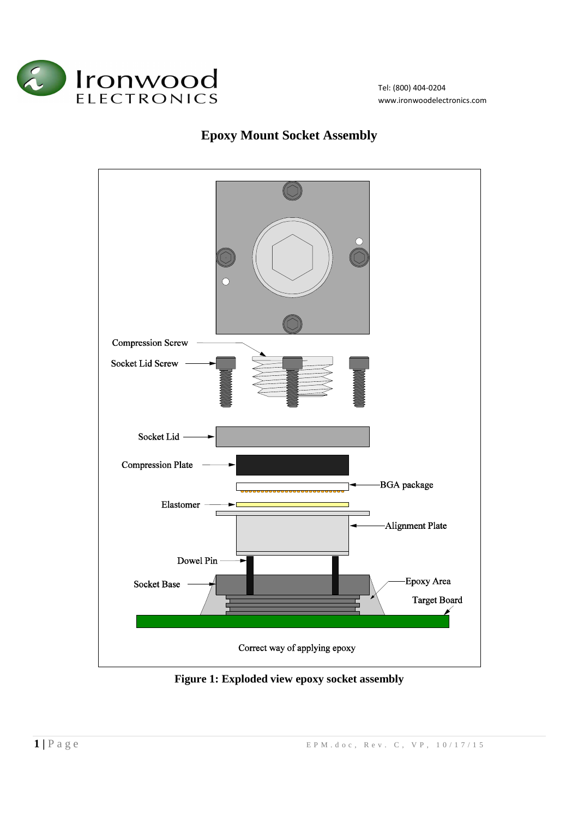

Tel: (800) 404-0204 www.ironwoodelectronics.com

## **Epoxy Mount Socket Assembly**



**Figure 1: Exploded view epoxy socket assembly**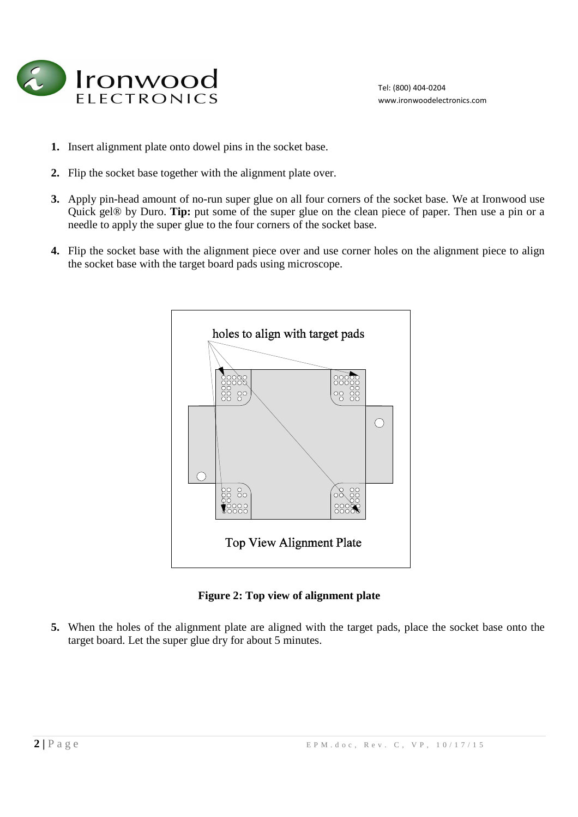

- **1.** Insert alignment plate onto dowel pins in the socket base.
- **2.** Flip the socket base together with the alignment plate over.
- **3.** Apply pin-head amount of no-run super glue on all four corners of the socket base. We at Ironwood use Quick gel® by Duro. **Tip:** put some of the super glue on the clean piece of paper. Then use a pin or a needle to apply the super glue to the four corners of the socket base.
- **4.** Flip the socket base with the alignment piece over and use corner holes on the alignment piece to align the socket base with the target board pads using microscope.



**Figure 2: Top view of alignment plate** 

**5.** When the holes of the alignment plate are aligned with the target pads, place the socket base onto the target board. Let the super glue dry for about 5 minutes.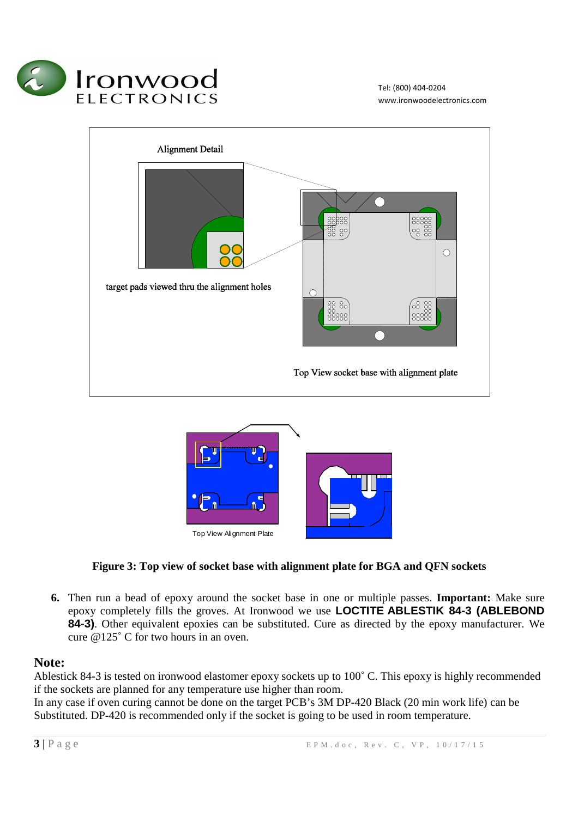





## **Figure 3: Top view of socket base with alignment plate for BGA and QFN sockets**

**6.** Then run a bead of epoxy around the socket base in one or multiple passes. **Important:** Make sure epoxy completely fills the groves. At Ironwood we use **LOCTITE ABLESTIK 84-3 (ABLEBOND 84-3)**. Other equivalent epoxies can be substituted. Cure as directed by the epoxy manufacturer. We cure @125˚ C for two hours in an oven.

## **Note:**

Ablestick 84-3 is tested on ironwood elastomer epoxy sockets up to 100˚ C. This epoxy is highly recommended if the sockets are planned for any temperature use higher than room.

In any case if oven curing cannot be done on the target PCB's 3M DP-420 Black (20 min work life) can be Substituted. DP-420 is recommended only if the socket is going to be used in room temperature.